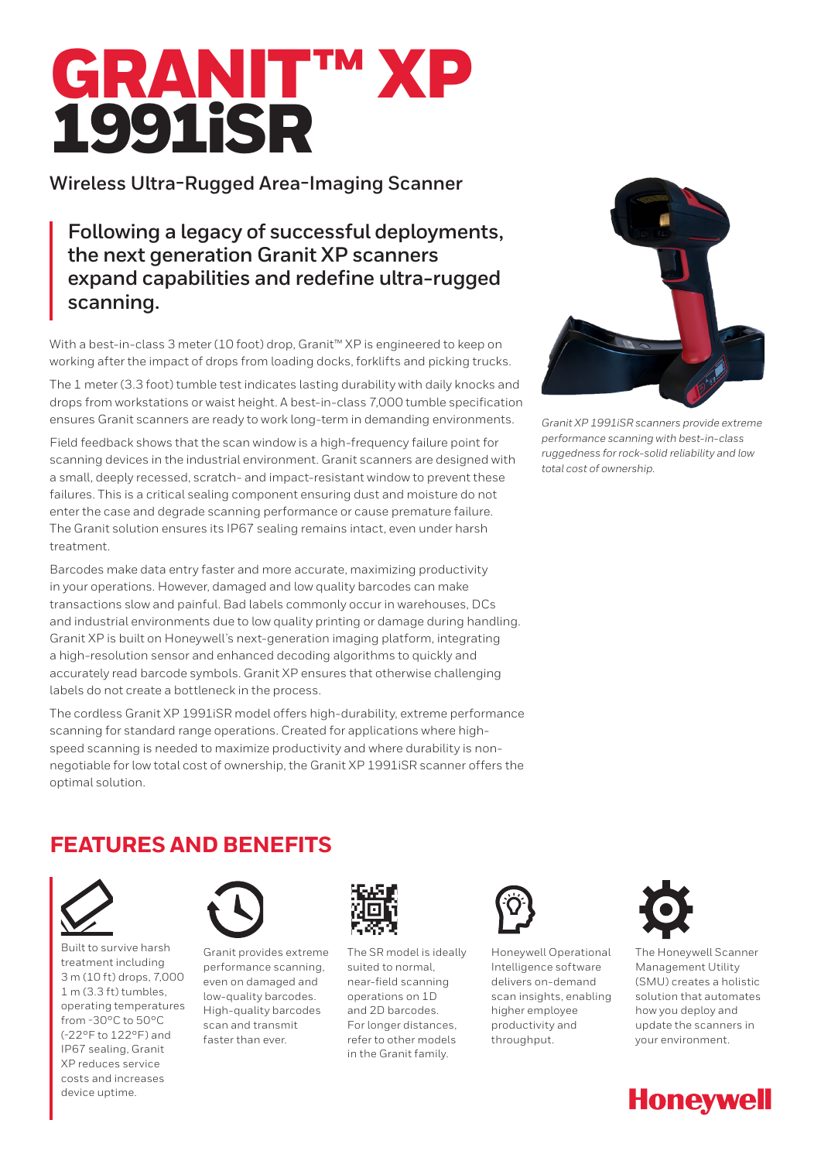# GRANIT™ 1991iSR

**Wireless Ultra-Rugged Area-Imaging Scanner**

**Following a legacy of successful deployments, the next generation Granit XP scanners expand capabilities and redefine ultra-rugged scanning.** 

With a best-in-class 3 meter (10 foot) drop, Granit™ XP is engineered to keep on working after the impact of drops from loading docks, forklifts and picking trucks.

The 1 meter (3.3 foot) tumble test indicates lasting durability with daily knocks and drops from workstations or waist height. A best-in-class 7,000 tumble specification ensures Granit scanners are ready to work long-term in demanding environments.

Field feedback shows that the scan window is a high-frequency failure point for scanning devices in the industrial environment. Granit scanners are designed with a small, deeply recessed, scratch- and impact-resistant window to prevent these failures. This is a critical sealing component ensuring dust and moisture do not enter the case and degrade scanning performance or cause premature failure. The Granit solution ensures its IP67 sealing remains intact, even under harsh treatment.

Barcodes make data entry faster and more accurate, maximizing productivity in your operations. However, damaged and low quality barcodes can make transactions slow and painful. Bad labels commonly occur in warehouses, DCs and industrial environments due to low quality printing or damage during handling. Granit XP is built on Honeywell's next-generation imaging platform, integrating a high-resolution sensor and enhanced decoding algorithms to quickly and accurately read barcode symbols. Granit XP ensures that otherwise challenging labels do not create a bottleneck in the process.

The cordless Granit XP 1991iSR model offers high-durability, extreme performance scanning for standard range operations. Created for applications where highspeed scanning is needed to maximize productivity and where durability is nonnegotiable for low total cost of ownership, the Granit XP 1991iSR scanner offers the optimal solution.



*Granit XP 1991iSR scanners provide extreme performance scanning with best-in-class ruggedness for rock-solid reliability and low total cost of ownership.*

## **FEATURES AND BENEFITS**



Built to survive harsh treatment including 3 m (10 ft) drops, 7,000 1 m (3.3 ft) tumbles, operating temperatures from -30°C to 50°C (-22°F to 122°F) and IP67 sealing, Granit XP reduces service costs and increases device uptime.



Granit provides extreme performance scanning, even on damaged and low-quality barcodes. High-quality barcodes scan and transmit faster than ever.



The SR model is ideally suited to normal, near-field scanning operations on 1D and 2D barcodes. For longer distances, refer to other models in the Granit family.



Honeywell Operational Intelligence software delivers on-demand scan insights, enabling higher employee productivity and throughput.



The Honeywell Scanner Management Utility (SMU) creates a holistic solution that automates how you deploy and update the scanners in your environment.

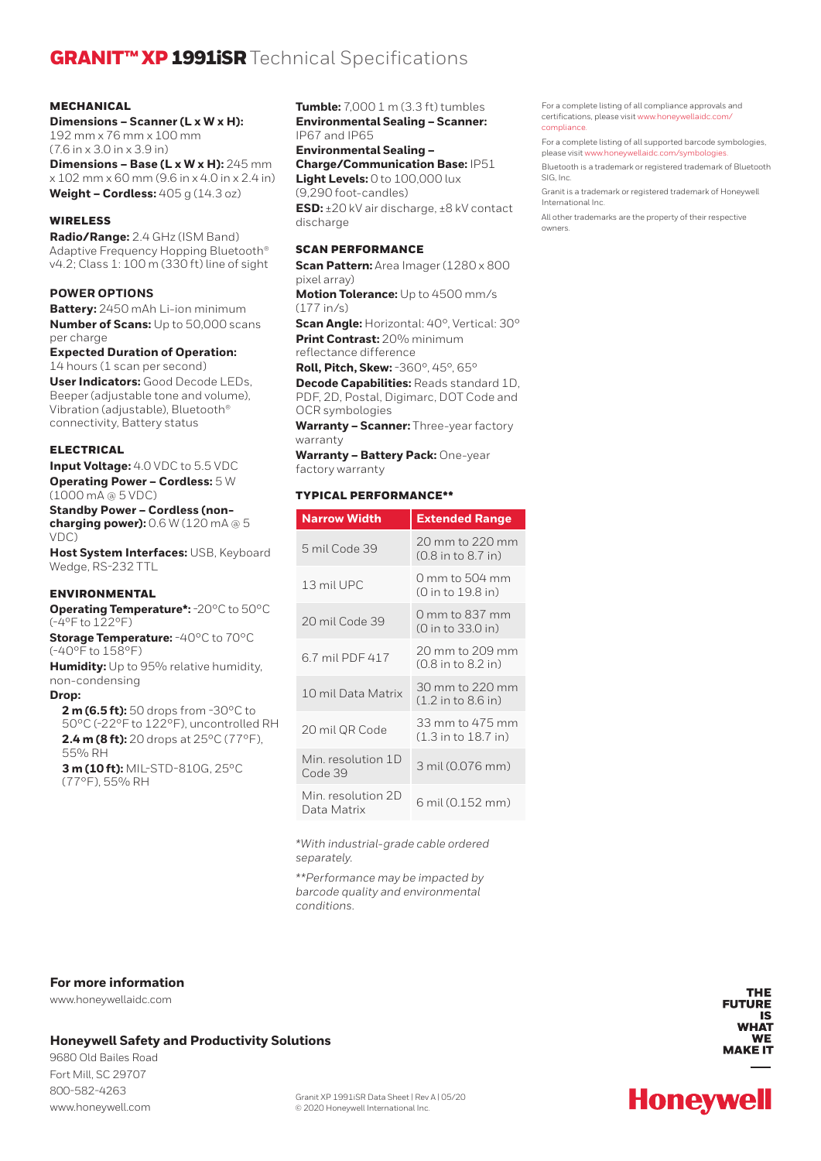## GRANIT™ XP 1991iSR Technical Specifications

## MECHANICAL

**Dimensions – Scanner (L x W x H):**  192 mm x 76 mm x 100 mm (7.6 in x 3.0 in x 3.9 in)

**Dimensions – Base (L x W x H):** 245 mm x 102 mm x 60 mm (9.6 in x 4.0 in x 2.4 in) **Weight – Cordless:**  $405$  g (14.3 oz)

## WIRELESS

**Radio/Range:** 2.4 GHz (ISM Band) Adaptive Frequency Hopping Bluetooth® v4.2; Class 1: 100 m (330 ft) line of sight

## **POWER OPTIONS**

**Battery:** 2450 mAh Li-ion minimum **Number of Scans:** Up to 50,000 scans per charge

**Expected Duration of Operation:**  14 hours (1 scan per second)

**User Indicators:** Good Decode LEDs, Beeper (adjustable tone and volume), Vibration (adjustable), Bluetooth® connectivity, Battery status

#### **ELECTRICAL**

**Input Voltage:** 4.0 VDC to 5.5 VDC **Operating Power – Cordless:** 5 W (1000 mA @ 5 VDC)

**Standby Power – Cordless (noncharging power):** 0.6 W (120 mA @ 5 VDC)

**Host System Interfaces:** USB, Keyboard Wedge, RS-232 TTL

## ENVIRONMENTAL

**Operating Temperature\*:** -20°C to 50°C (-4°F to 122°F)

**Storage Temperature: -40°C to 70°C** (-40°F to 158°F)

**Humidity:** Up to 95% relative humidity, non-condensing

### Drop:

**2 m (6.5 ft):** 50 drops from -30°C to 50°C (-22°F to 122°F), uncontrolled RH **2.4 m (8 ft):** 20 drops at 25°C (77°F), 55% RH

**3 m (10 ft):** MIL-STD-810G, 25°C (77°F), 55% RH

## **Tumble:** 7,000 1 m (3.3 ft) tumbles **Environmental Sealing – Scanner:**

IP67 and IP65 **Environmental Sealing – Charge/Communication Base:** IP51 **Light Levels: 0 to 100,000 lux** 

(9,290 foot-candles) **ESD:** ±20 kV air discharge, ±8 kV contact discharge

## SCAN PERFORMANCE

**Scan Pattern:** Area Imager (1280 x 800 pixel array)

**Motion Tolerance:** Up to 4500 mm/s (177 in/s)

**Scan Angle:** Horizontal: 40°, Vertical: 30° **Print Contrast:** 20% minimum

reflectance difference

**Roll, Pitch, Skew:** -360°, 45°, 65°

**Decode Capabilities:** Reads standard 1D, PDF, 2D, Postal, Digimarc, DOT Code and OCR symbologies

**Warranty – Scanner:** Three-year factory warranty

**Warranty – Battery Pack:** One-year factory warranty

## TYPICAL PERFORMANCE\*\*

| <b>Narrow Width</b>               | <b>Extended Range</b>                                     |
|-----------------------------------|-----------------------------------------------------------|
| 5 mil Code 39                     | 20 mm to 220 mm<br>$(0.8$ in to $8.7$ in)                 |
| 1.3 mil UPC                       | 0 mm to 504 mm<br>(0 in to 19.8 in)                       |
| 20 mil Code 39                    | 0 mm to 837 mm<br>(0 in to 33.0 in)                       |
| 6.7 mil PDF 417                   | 20 mm to 209 mm<br>$(0.8$ in to $8.2$ in)                 |
| 10 mil Data Matrix                | 30 mm to 220 mm<br>$(1.2 \text{ in to } 8.6 \text{ in})$  |
| 20 mil QR Code                    | 33 mm to 475 mm<br>$(1.3 \text{ in to } 18.7 \text{ in})$ |
| Min. resolution 1D<br>Code 39     | 3 mil (0.076 mm)                                          |
| Min. resolution 2D<br>Data Matrix | 6 mil (0.152 mm)                                          |

*\*With industrial-grade cable ordered separately.*

*\*\*Performance may be impacted by barcode quality and environmental conditions.*

**For more information**

[www.honeywellaidc.com](http://www.honeywellaidc.com)

## **Honeywell Safety and Productivity Solutions**

9680 Old Bailes Road Fort Mill, SC 29707 800-582-4263 [www.honeywell.com](http://www.honeywell.com)

Granit XP 1991iSR Data Sheet | Rev A | 05/20 © 2020 Honeywell International Inc.

For a complete listing of all compliance approvals and certifications, please visit [www.honeywellaidc.com/](http://www.honeywellaidc.com/compliance) [compliance.](http://www.honeywellaidc.com/compliance)

For a complete listing of all supported barcode symbologies, please visit [www.honeywellaidc.com/symbologies](http://www.honeywellaidc.com/symbologies). Bluetooth is a trademark or registered trademark of Bluetooth

SIG, Inc. Granit is a trademark or registered trademark of Honeywell

International Inc.

All other trademarks are the property of their respective owners.

> THE **TURE IS WHAT** WF **MAKE IT**

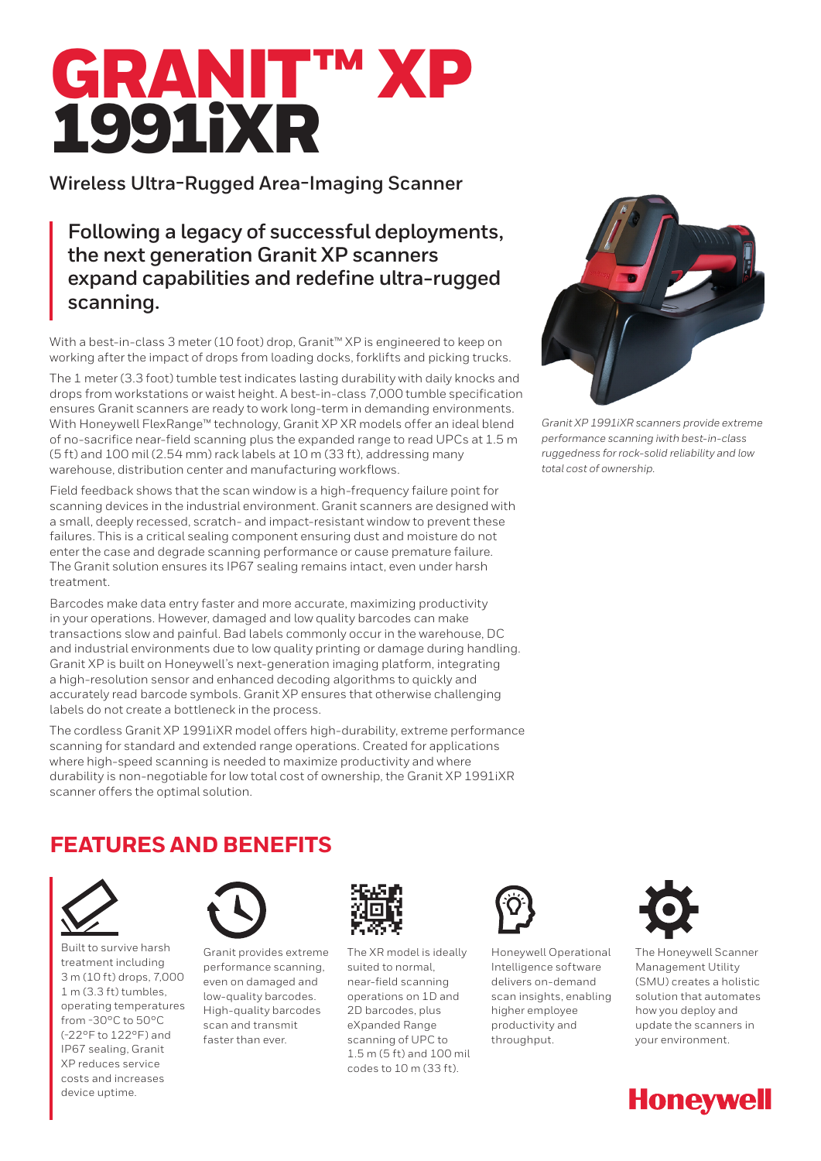# GRANIT™ X 1991iXR

## **Wireless Ultra-Rugged Area-Imaging Scanner**

**Following a legacy of successful deployments, the next generation Granit XP scanners expand capabilities and redefine ultra-rugged scanning.** 

With a best-in-class 3 meter (10 foot) drop, Granit™ XP is engineered to keep on working after the impact of drops from loading docks, forklifts and picking trucks.

The 1 meter (3.3 foot) tumble test indicates lasting durability with daily knocks and drops from workstations or waist height. A best-in-class 7,000 tumble specification ensures Granit scanners are ready to work long-term in demanding environments. With Honeywell FlexRange™ technology, Granit XP XR models offer an ideal blend of no-sacrifice near-field scanning plus the expanded range to read UPCs at 1.5 m (5 ft) and 100 mil (2.54 mm) rack labels at 10 m (33 ft), addressing many warehouse, distribution center and manufacturing workflows.

Field feedback shows that the scan window is a high-frequency failure point for scanning devices in the industrial environment. Granit scanners are designed with a small, deeply recessed, scratch- and impact-resistant window to prevent these failures. This is a critical sealing component ensuring dust and moisture do not enter the case and degrade scanning performance or cause premature failure. The Granit solution ensures its IP67 sealing remains intact, even under harsh treatment.

Barcodes make data entry faster and more accurate, maximizing productivity in your operations. However, damaged and low quality barcodes can make transactions slow and painful. Bad labels commonly occur in the warehouse, DC and industrial environments due to low quality printing or damage during handling. Granit XP is built on Honeywell's next-generation imaging platform, integrating a high-resolution sensor and enhanced decoding algorithms to quickly and accurately read barcode symbols. Granit XP ensures that otherwise challenging labels do not create a bottleneck in the process.

The cordless Granit XP 1991iXR model offers high-durability, extreme performance scanning for standard and extended range operations. Created for applications where high-speed scanning is needed to maximize productivity and where durability is non-negotiable for low total cost of ownership, the Granit XP 1991iXR scanner offers the optimal solution.



*Granit XP 1991iXR scanners provide extreme performance scanning iwith best-in-class ruggedness for rock-solid reliability and low total cost of ownership.*

## **FEATURES AND BENEFITS**



Built to survive harsh treatment including 3 m (10 ft) drops, 7,000 1 m (3.3 ft) tumbles, operating temperatures from -30°C to 50°C (-22°F to 122°F) and IP67 sealing, Granit XP reduces service costs and increases device uptime.



Granit provides extreme performance scanning, even on damaged and low-quality barcodes. High-quality barcodes scan and transmit faster than ever.



The XR model is ideally suited to normal, near-field scanning operations on 1D and 2D barcodes, plus eXpanded Range scanning of UPC to 1.5 m (5 ft) and 100 mil codes to 10 m (33 ft).



Honeywell Operational Intelligence software delivers on-demand scan insights, enabling higher employee productivity and throughput.



The Honeywell Scanner Management Utility (SMU) creates a holistic solution that automates how you deploy and update the scanners in your environment.